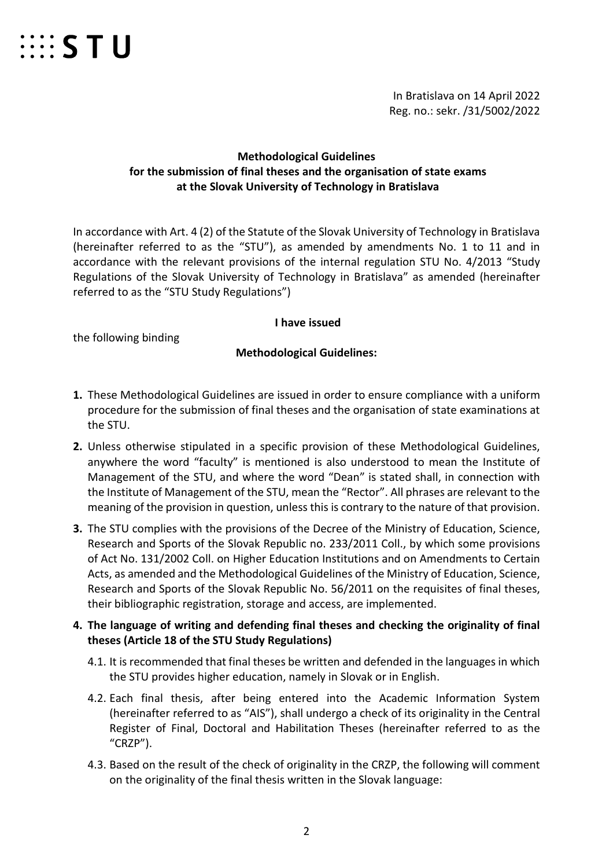

In Bratislava on 14 April 2022 Reg. no.: sekr. /31/5002/2022

### **Methodological Guidelines for the submission of final theses and the organisation of state exams at the Slovak University of Technology in Bratislava**

In accordance with Art. 4 (2) of the Statute of the Slovak University of Technology in Bratislava (hereinafter referred to as the "STU"), as amended by amendments No. 1 to 11 and in accordance with the relevant provisions of the internal regulation STU No. 4/2013 "Study Regulations of the Slovak University of Technology in Bratislava" as amended (hereinafter referred to as the "STU Study Regulations")

#### **I have issued**

the following binding

#### **Methodological Guidelines:**

- **1.** These Methodological Guidelines are issued in order to ensure compliance with a uniform procedure for the submission of final theses and the organisation of state examinations at the STU.
- **2.** Unless otherwise stipulated in a specific provision of these Methodological Guidelines, anywhere the word "faculty" is mentioned is also understood to mean the Institute of Management of the STU, and where the word "Dean" is stated shall, in connection with the Institute of Management of the STU, mean the "Rector". All phrases are relevant to the meaning of the provision in question, unless this is contrary to the nature of that provision.
- **3.** The STU complies with the provisions of the Decree of the Ministry of Education, Science, Research and Sports of the Slovak Republic no. 233/2011 Coll., by which some provisions of Act No. 131/2002 Coll. on Higher Education Institutions and on Amendments to Certain Acts, as amended and the Methodological Guidelines of the Ministry of Education, Science, Research and Sports of the Slovak Republic No. 56/2011 on the requisites of final theses, their bibliographic registration, storage and access, are implemented.

### **4. The language of writing and defending final theses and checking the originality of final theses (Article 18 of the STU Study Regulations)**

- 4.1. It is recommended that final theses be written and defended in the languages in which the STU provides higher education, namely in Slovak or in English.
- 4.2. Each final thesis, after being entered into the Academic Information System (hereinafter referred to as "AIS"), shall undergo a check of its originality in the Central Register of Final, Doctoral and Habilitation Theses (hereinafter referred to as the "CRZP").
- 4.3. Based on the result of the check of originality in the CRZP, the following will comment on the originality of the final thesis written in the Slovak language: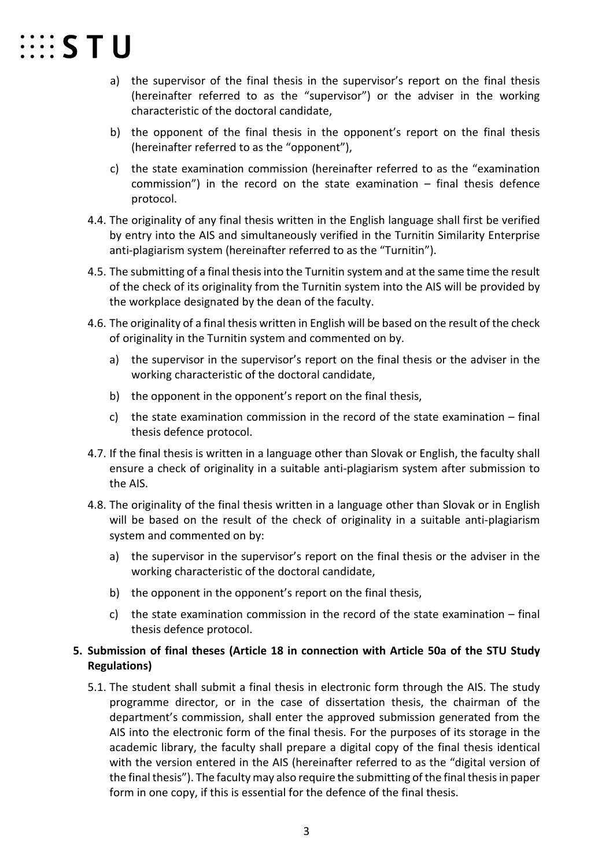

- a) the supervisor of the final thesis in the supervisor's report on the final thesis (hereinafter referred to as the "supervisor") or the adviser in the working characteristic of the doctoral candidate,
- b) the opponent of the final thesis in the opponent's report on the final thesis (hereinafter referred to as the "opponent"),
- c) the state examination commission (hereinafter referred to as the "examination commission") in the record on the state examination – final thesis defence protocol.
- 4.4. The originality of any final thesis written in the English language shall first be verified by entry into the AIS and simultaneously verified in the Turnitin Similarity Enterprise anti-plagiarism system (hereinafter referred to as the "Turnitin").
- 4.5. The submitting of a final thesis into the Turnitin system and at the same time the result of the check of its originality from the Turnitin system into the AIS will be provided by the workplace designated by the dean of the faculty.
- 4.6. The originality of a final thesis written in English will be based on the result of the check of originality in the Turnitin system and commented on by.
	- a) the supervisor in the supervisor's report on the final thesis or the adviser in the working characteristic of the doctoral candidate,
	- b) the opponent in the opponent's report on the final thesis,
	- c) the state examination commission in the record of the state examination final thesis defence protocol.
- 4.7. If the final thesis is written in a language other than Slovak or English, the faculty shall ensure a check of originality in a suitable anti-plagiarism system after submission to the AIS.
- 4.8. The originality of the final thesis written in a language other than Slovak or in English will be based on the result of the check of originality in a suitable anti-plagiarism system and commented on by:
	- a) the supervisor in the supervisor's report on the final thesis or the adviser in the working characteristic of the doctoral candidate,
	- b) the opponent in the opponent's report on the final thesis,
	- c) the state examination commission in the record of the state examination final thesis defence protocol.

#### **5. Submission of final theses (Article 18 in connection with Article 50a of the STU Study Regulations)**

5.1. The student shall submit a final thesis in electronic form through the AIS. The study programme director, or in the case of dissertation thesis, the chairman of the department's commission, shall enter the approved submission generated from the AIS into the electronic form of the final thesis. For the purposes of its storage in the academic library, the faculty shall prepare a digital copy of the final thesis identical with the version entered in the AIS (hereinafter referred to as the "digital version of the final thesis"). The faculty may also require the submitting of the final thesis in paper form in one copy, if this is essential for the defence of the final thesis.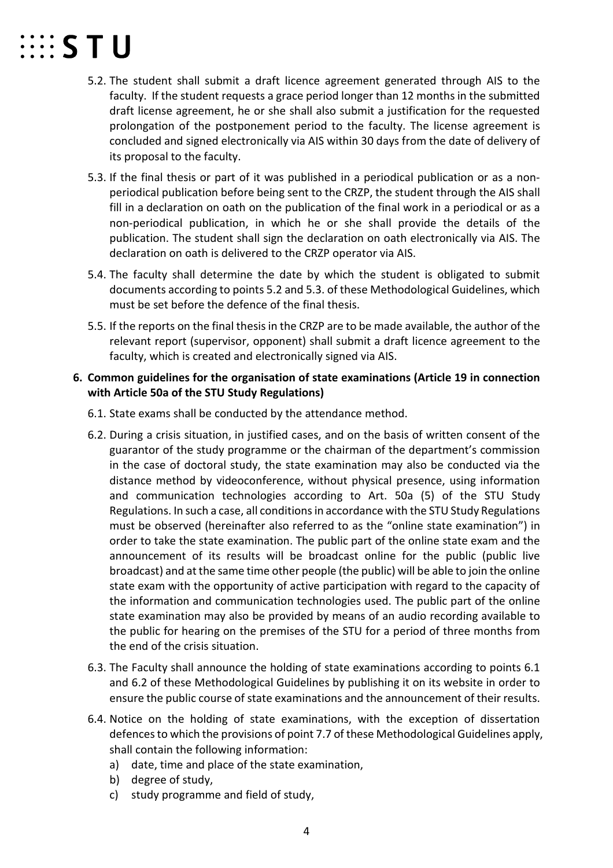# $\cdots$  STU

- 5.2. The student shall submit a draft licence agreement generated through AIS to the faculty. If the student requests a grace period longer than 12 months in the submitted draft license agreement, he or she shall also submit a justification for the requested prolongation of the postponement period to the faculty. The license agreement is concluded and signed electronically via AIS within 30 days from the date of delivery of its proposal to the faculty.
- 5.3. If the final thesis or part of it was published in a periodical publication or as a nonperiodical publication before being sent to the CRZP, the student through the AIS shall fill in a declaration on oath on the publication of the final work in a periodical or as a non-periodical publication, in which he or she shall provide the details of the publication. The student shall sign the declaration on oath electronically via AIS. The declaration on oath is delivered to the CRZP operator via AIS.
- 5.4. The faculty shall determine the date by which the student is obligated to submit documents according to points 5.2 and 5.3. of these Methodological Guidelines, which must be set before the defence of the final thesis.
- 5.5. If the reports on the final thesis in the CRZP are to be made available, the author of the relevant report (supervisor, opponent) shall submit a draft licence agreement to the faculty, which is created and electronically signed via AIS.

### **6. Common guidelines for the organisation of state examinations (Article 19 in connection with Article 50a of the STU Study Regulations)**

- 6.1. State exams shall be conducted by the attendance method.
- 6.2. During a crisis situation, in justified cases, and on the basis of written consent of the guarantor of the study programme or the chairman of the department's commission in the case of doctoral study, the state examination may also be conducted via the distance method by videoconference, without physical presence, using information and communication technologies according to Art. 50a (5) of the STU Study Regulations. In such a case, all conditions in accordance with the STU Study Regulations must be observed (hereinafter also referred to as the "online state examination") in order to take the state examination. The public part of the online state exam and the announcement of its results will be broadcast online for the public (public live broadcast) and at the same time other people (the public) will be able to join the online state exam with the opportunity of active participation with regard to the capacity of the information and communication technologies used. The public part of the online state examination may also be provided by means of an audio recording available to the public for hearing on the premises of the STU for a period of three months from the end of the crisis situation.
- 6.3. The Faculty shall announce the holding of state examinations according to points 6.1 and 6.2 of these Methodological Guidelines by publishing it on its website in order to ensure the public course of state examinations and the announcement of their results.
- 6.4. Notice on the holding of state examinations, with the exception of dissertation defences to which the provisions of point 7.7 of these Methodological Guidelines apply, shall contain the following information:
	- a) date, time and place of the state examination,
	- b) degree of study,
	- c) study programme and field of study,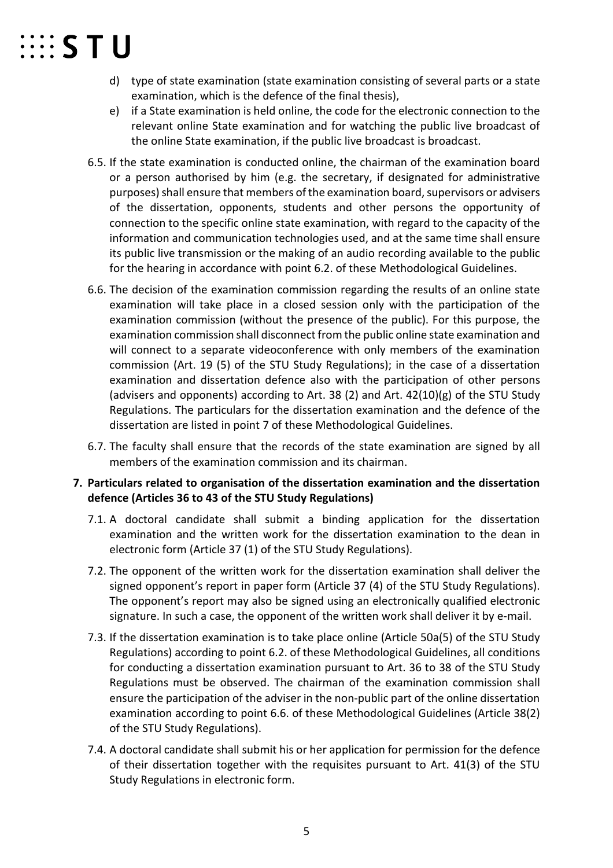## $\cdots$  STU

- d) type of state examination (state examination consisting of several parts or a state examination, which is the defence of the final thesis),
- e) if a State examination is held online, the code for the electronic connection to the relevant online State examination and for watching the public live broadcast of the online State examination, if the public live broadcast is broadcast.
- 6.5. If the state examination is conducted online, the chairman of the examination board or a person authorised by him (e.g. the secretary, if designated for administrative purposes) shall ensure that members of the examination board, supervisors or advisers of the dissertation, opponents, students and other persons the opportunity of connection to the specific online state examination, with regard to the capacity of the information and communication technologies used, and at the same time shall ensure its public live transmission or the making of an audio recording available to the public for the hearing in accordance with point 6.2. of these Methodological Guidelines.
- 6.6. The decision of the examination commission regarding the results of an online state examination will take place in a closed session only with the participation of the examination commission (without the presence of the public). For this purpose, the examination commission shall disconnect from the public online state examination and will connect to a separate videoconference with only members of the examination commission (Art. 19 (5) of the STU Study Regulations); in the case of a dissertation examination and dissertation defence also with the participation of other persons (advisers and opponents) according to Art. 38 (2) and Art.  $42(10)(g)$  of the STU Study Regulations. The particulars for the dissertation examination and the defence of the dissertation are listed in point 7 of these Methodological Guidelines.
- 6.7. The faculty shall ensure that the records of the state examination are signed by all members of the examination commission and its chairman.
- **7. Particulars related to organisation of the dissertation examination and the dissertation defence (Articles 36 to 43 of the STU Study Regulations)**
	- 7.1. A doctoral candidate shall submit a binding application for the dissertation examination and the written work for the dissertation examination to the dean in electronic form (Article 37 (1) of the STU Study Regulations).
	- 7.2. The opponent of the written work for the dissertation examination shall deliver the signed opponent's report in paper form (Article 37 (4) of the STU Study Regulations). The opponent's report may also be signed using an electronically qualified electronic signature. In such a case, the opponent of the written work shall deliver it by e-mail.
	- 7.3. If the dissertation examination is to take place online (Article 50a(5) of the STU Study Regulations) according to point 6.2. of these Methodological Guidelines, all conditions for conducting a dissertation examination pursuant to Art. 36 to 38 of the STU Study Regulations must be observed. The chairman of the examination commission shall ensure the participation of the adviser in the non-public part of the online dissertation examination according to point 6.6. of these Methodological Guidelines (Article 38(2) of the STU Study Regulations).
	- 7.4. A doctoral candidate shall submit his or her application for permission for the defence of their dissertation together with the requisites pursuant to Art. 41(3) of the STU Study Regulations in electronic form.